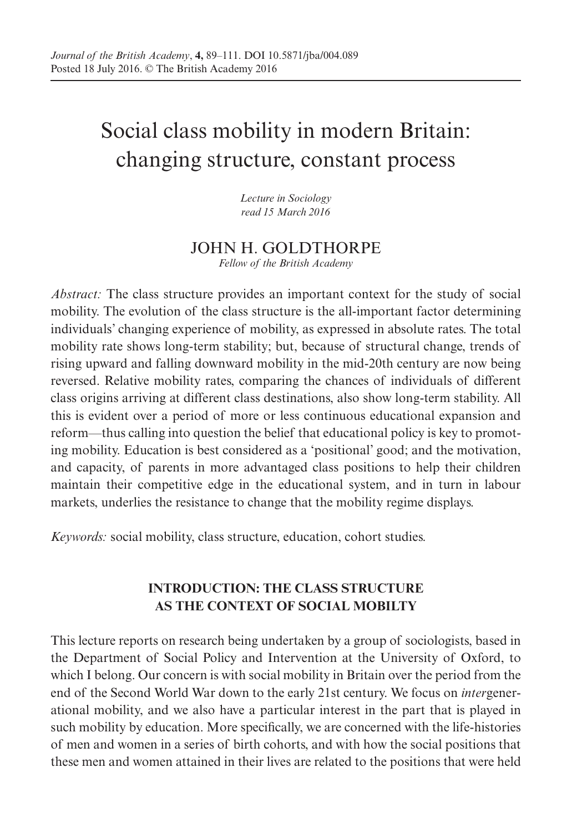# Social class mobility in modern Britain: changing structure, constant process

*Lecture in Sociology read 15 March 2016*

## JOHN H. GOLDTHORPE *Fellow of the British Academy*

*Abstract:* The class structure provides an important context for the study of social mobility. The evolution of the class structure is the all-important factor determining individuals' changing experience of mobility, as expressed in absolute rates. The total mobility rate shows long-term stability; but, because of structural change, trends of rising upward and falling downward mobility in the mid-20th century are now being reversed. Relative mobility rates, comparing the chances of individuals of different class origins arriving at different class destinations, also show long-term stability. All this is evident over a period of more or less continuous educational expansion and reform—thus calling into question the belief that educational policy is key to promoting mobility. Education is best considered as a 'positional' good; and the motivation, and capacity, of parents in more advantaged class positions to help their children maintain their competitive edge in the educational system, and in turn in labour markets, underlies the resistance to change that the mobility regime displays.

*Keywords:* social mobility, class structure, education, cohort studies.

## **INTRODUCTION: THE CLASS STRUCTURE AS THE CONTEXT OF SOCIAL MOBILTY**

This lecture reports on research being undertaken by a group of sociologists, based in the Department of Social Policy and Intervention at the University of Oxford, to which I belong. Our concern is with social mobility in Britain over the period from the end of the Second World War down to the early 21st century. We focus on *inter*generational mobility, and we also have a particular interest in the part that is played in such mobility by education. More specifically, we are concerned with the life-histories of men and women in a series of birth cohorts, and with how the social positions that these men and women attained in their lives are related to the positions that were held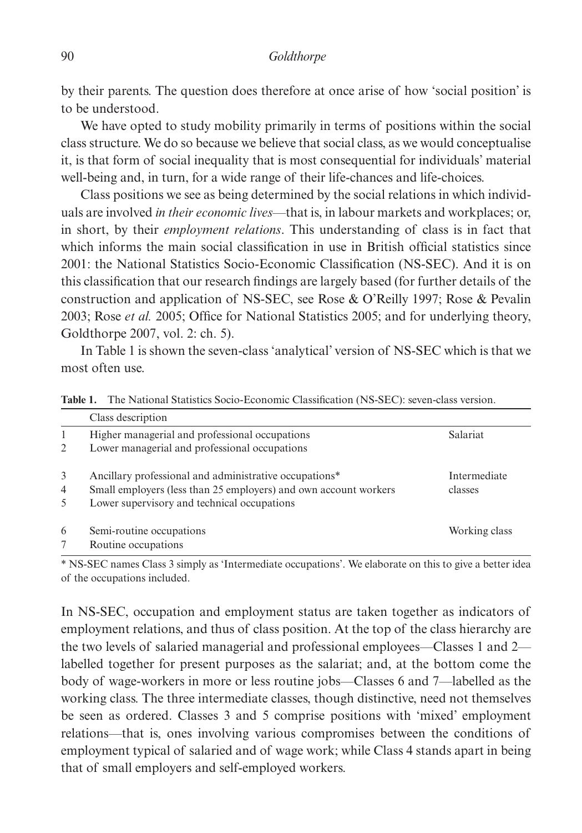by their parents. The question does therefore at once arise of how 'social position' is to be understood.

We have opted to study mobility primarily in terms of positions within the social class structure. We do so because we believe that social class, as we would conceptualise it, is that form of social inequality that is most consequential for individuals' material well-being and, in turn, for a wide range of their life-chances and life-choices.

Class positions we see as being determined by the social relations in which individuals are involved *in their economic lives*—that is, in labour markets and workplaces; or, in short, by their *employment relations*. This understanding of class is in fact that which informs the main social classification in use in British official statistics since 2001: the National Statistics Socio-Economic Classification (NS-SEC). And it is on this classification that our research findings are largely based (for further details of the construction and application of NS-SEC, see Rose & O'Reilly 1997; Rose & Pevalin 2003; Rose *et al.* 2005; Office for National Statistics 2005; and for underlying theory, Goldthorpe 2007, vol. 2: ch. 5).

In Table 1 is shown the seven-class 'analytical' version of NS-SEC which is that we most often use.

|              | Class description                                                |               |
|--------------|------------------------------------------------------------------|---------------|
| $\mathbf{1}$ | Higher managerial and professional occupations                   | Salariat      |
| 2            | Lower managerial and professional occupations                    |               |
| 3            | Ancillary professional and administrative occupations*           | Intermediate  |
| 4            | Small employers (less than 25 employers) and own account workers | classes       |
| 5            | Lower supervisory and technical occupations                      |               |
| 6            | Semi-routine occupations                                         | Working class |
|              | Routine occupations                                              |               |

**Table 1.** The National Statistics Socio-Economic Classification (NS-SEC): seven-class version.

\* NS-SEC names Class 3 simply as 'Intermediate occupations'. We elaborate on this to give a better idea of the occupations included.

In NS-SEC, occupation and employment status are taken together as indicators of employment relations, and thus of class position. At the top of the class hierarchy are the two levels of salaried managerial and professional employees—Classes 1 and 2 labelled together for present purposes as the salariat; and, at the bottom come the body of wage-workers in more or less routine jobs—Classes 6 and 7—labelled as the working class. The three intermediate classes, though distinctive, need not themselves be seen as ordered. Classes 3 and 5 comprise positions with 'mixed' employment relations—that is, ones involving various compromises between the conditions of employment typical of salaried and of wage work; while Class 4 stands apart in being that of small employers and self-employed workers.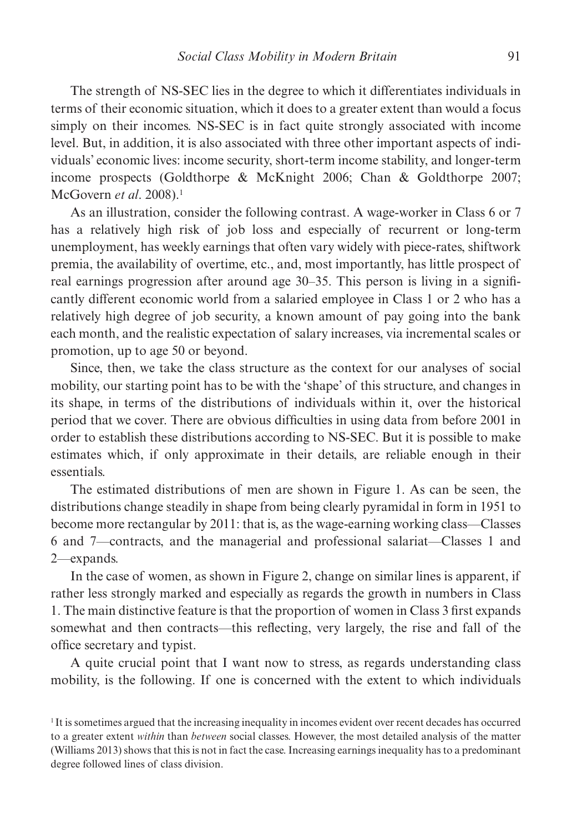The strength of NS-SEC lies in the degree to which it differentiates individuals in terms of their economic situation, which it does to a greater extent than would a focus simply on their incomes. NS-SEC is in fact quite strongly associated with income level. But, in addition, it is also associated with three other important aspects of individuals' economic lives: income security, short-term income stability, and longer-term income prospects (Goldthorpe & McKnight 2006; Chan & Goldthorpe 2007; McGovern *et al*. 2008).1

As an illustration, consider the following contrast. A wage-worker in Class 6 or 7 has a relatively high risk of job loss and especially of recurrent or long-term unemployment, has weekly earnings that often vary widely with piece-rates, shiftwork premia, the availability of overtime, etc., and, most importantly, has little prospect of real earnings progression after around age 30–35. This person is living in a significantly different economic world from a salaried employee in Class 1 or 2 who has a relatively high degree of job security, a known amount of pay going into the bank each month, and the realistic expectation of salary increases, via incremental scales or promotion, up to age 50 or beyond.

Since, then, we take the class structure as the context for our analyses of social mobility, our starting point has to be with the 'shape' of this structure, and changes in its shape, in terms of the distributions of individuals within it, over the historical period that we cover. There are obvious difficulties in using data from before 2001 in order to establish these distributions according to NS-SEC. But it is possible to make estimates which, if only approximate in their details, are reliable enough in their essentials.

The estimated distributions of men are shown in Figure 1. As can be seen, the distributions change steadily in shape from being clearly pyramidal in form in 1951 to become more rectangular by 2011: that is, as the wage-earning working class—Classes 6 and 7—contracts, and the managerial and professional salariat—Classes 1 and 2—expands.

In the case of women, as shown in Figure 2, change on similar lines is apparent, if rather less strongly marked and especially as regards the growth in numbers in Class 1. The main distinctive feature is that the proportion of women in Class 3 first expands somewhat and then contracts—this reflecting, very largely, the rise and fall of the office secretary and typist.

A quite crucial point that I want now to stress, as regards understanding class mobility, is the following. If one is concerned with the extent to which individuals

<sup>1</sup> It is sometimes argued that the increasing inequality in incomes evident over recent decades has occurred to a greater extent *within* than *between* social classes. However, the most detailed analysis of the matter (Williams 2013) shows that this is not in fact the case. Increasing earnings inequality has to a predominant degree followed lines of class division.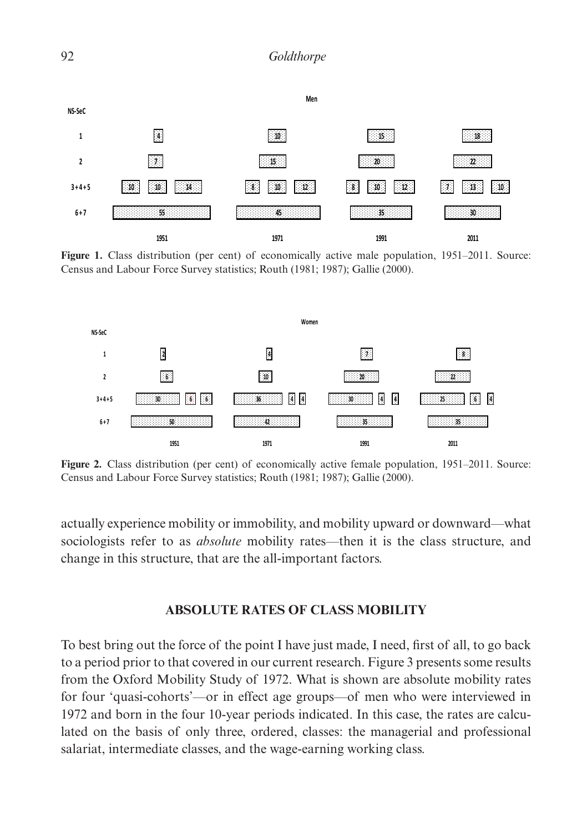

Census and Labour Force Survey statistics; Routh (1981; 1987); Gallie (2000). Figure 1. Class distribution (per cent) of economically active male population, 1951–2011. Source:



**Figure 2.** Class distribution (per cent) of economically active female population, 1951–2011. Source: Census and Labour Force Survey statistics; Routh (1981; 1987); Gallie (2000).

actually experience mobility or immobility, and mobility upward or downward—what sociologists refer to as *absolute* mobility rates—then it is the class structure, and change in this structure, that are the all-important factors.

## **ABSOLUTE RATES OF CLASS MOBILITY**

To best bring out the force of the point I have just made, I need, first of all, to go back to a period prior to that covered in our current research. Figure 3 presents some results from the Oxford Mobility Study of 1972. What is shown are absolute mobility rates for four 'quasi-cohorts'—or in effect age groups—of men who were interviewed in 1972 and born in the four 10-year periods indicated. In this case, the rates are calculated on the basis of only three, ordered, classes: the managerial and professional salariat, intermediate classes, and the wage-earning working class.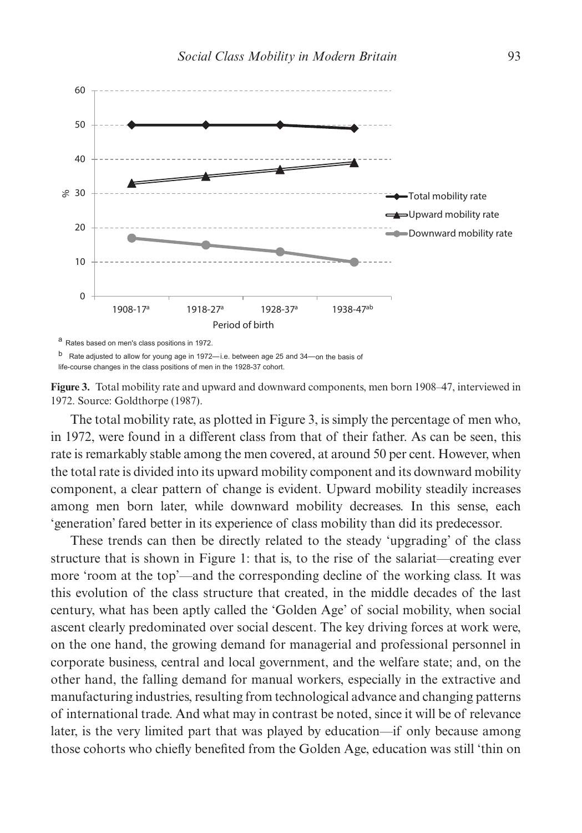

a Rates based on men's class positions in 1972.

b Rate adjusted to allow for young age in 1972-i.e. between age 25 and 34-on the basis of life-course changes in the class positions of men in the 1928-37 cohort.

**Figure 3.** Total mobility rate and upward and downward components, men born 1908–47, interviewed in 1972. Source: Goldthorpe (1987).

The total mobility rate, as plotted in Figure 3, is simply the percentage of men who, in 1972, were found in a different class from that of their father. As can be seen, this rate is remarkably stable among the men covered, at around 50 per cent. However, when the total rate is divided into its upward mobility component and its downward mobility component, a clear pattern of change is evident. Upward mobility steadily increases among men born later, while downward mobility decreases. In this sense, each 'generation' fared better in its experience of class mobility than did its predecessor.

These trends can then be directly related to the steady 'upgrading' of the class structure that is shown in Figure 1: that is, to the rise of the salariat—creating ever more 'room at the top'—and the corresponding decline of the working class. It was this evolution of the class structure that created, in the middle decades of the last century, what has been aptly called the 'Golden Age' of social mobility, when social ascent clearly predominated over social descent. The key driving forces at work were, on the one hand, the growing demand for managerial and professional personnel in corporate business, central and local government, and the welfare state; and, on the other hand, the falling demand for manual workers, especially in the extractive and manufacturing industries, resulting from technological advance and changing patterns of international trade. And what may in contrast be noted, since it will be of relevance later, is the very limited part that was played by education—if only because among those cohorts who chiefly benefited from the Golden Age, education was still 'thin on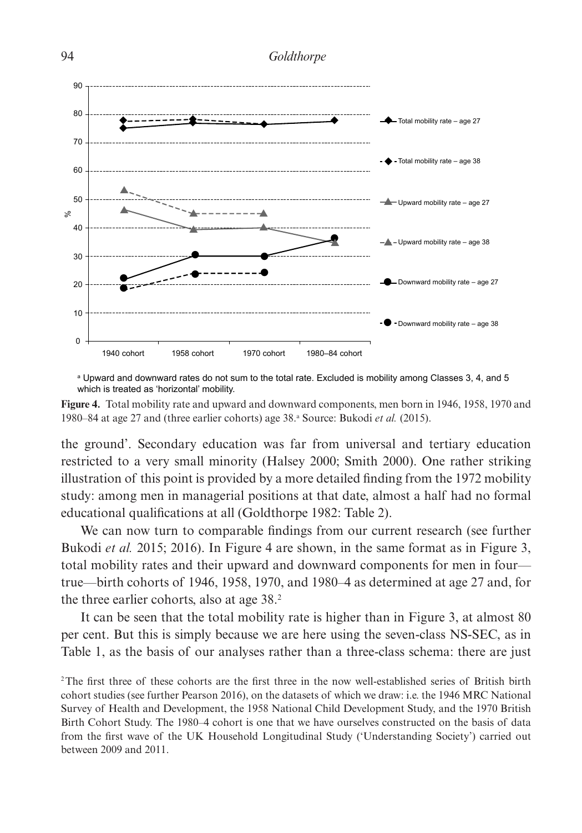



a Upward and downward rates do not sum to the total rate. Excluded is mobility among Classes 3, 4, and 5 which is treated as 'horizontal' mobility.

**Figure 4.** Total mobility rate and upward and downward components, men born in 1946, 1958, 1970 and 1980–84 at age 27 and (three earlier cohorts) age 38.<sup>a</sup> Source: Bukodi *et al.* (2015).

the ground'. Secondary education was far from universal and tertiary education restricted to a very small minority (Halsey 2000; Smith 2000). One rather striking illustration of this point is provided by a more detailed finding from the 1972 mobility study: among men in managerial positions at that date, almost a half had no formal educational qualifications at all (Goldthorpe 1982: Table 2).

We can now turn to comparable findings from our current research (see further Bukodi *et al.* 2015; 2016). In Figure 4 are shown, in the same format as in Figure 3, total mobility rates and their upward and downward components for men in four true—birth cohorts of 1946, 1958, 1970, and 1980–4 as determined at age 27 and, for the three earlier cohorts, also at age 38.2

It can be seen that the total mobility rate is higher than in Figure 3, at almost 80 per cent. But this is simply because we are here using the seven-class NS-SEC, as in Table 1, as the basis of our analyses rather than a three-class schema: there are just

<sup>2</sup>The first three of these cohorts are the first three in the now well-established series of British birth cohort studies (see further Pearson 2016), on the datasets of which we draw: i.e. the 1946 MRC National Survey of Health and Development, the 1958 National Child Development Study, and the 1970 British Birth Cohort Study. The 1980–4 cohort is one that we have ourselves constructed on the basis of data from the first wave of the UK Household Longitudinal Study ('Understanding Society') carried out between 2009 and 2011.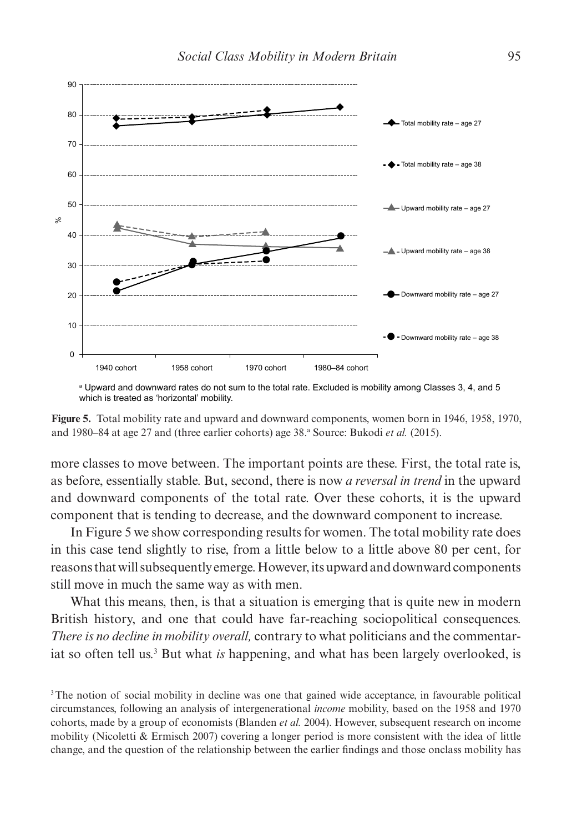

 $^{\rm a}$  Upward and downward rates do not sum to the total rate. Excluded is mobility among Classes 3, 4, and 5 which is treated as 'horizontal' mobility.

**Figure 5.** Total mobility rate and upward and downward components, women born in 1946, 1958, 1970, and 1980–84 at age 27 and (three earlier cohorts) age 38.ª Source: Bukodi *et al.* (2015).

more classes to move between. The important points are these. First, the total rate is, as before, essentially stable. But, second, there is now *a reversal in trend* in the upward and downward components of the total rate. Over these cohorts, it is the upward component that is tending to decrease, and the downward component to increase.

In Figure 5 we show corresponding results for women. The total mobility rate does in this case tend slightly to rise, from a little below to a little above 80 per cent, for reasons that will subsequently emerge. However, its upward and downward components still move in much the same way as with men.

What this means, then, is that a situation is emerging that is quite new in modern British history, and one that could have far-reaching sociopolitical consequences. *There is no decline in mobility overall,* contrary to what politicians and the commentariat so often tell us.<sup>3</sup> But what *is* happening, and what has been largely overlooked, is

<sup>&</sup>lt;sup>3</sup>The notion of social mobility in decline was one that gained wide acceptance, in favourable political circumstances, following an analysis of intergenerational *income* mobility, based on the 1958 and 1970 cohorts, made by a group of economists (Blanden *et al.* 2004). However, subsequent research on income mobility (Nicoletti & Ermisch 2007) covering a longer period is more consistent with the idea of little change, and the question of the relationship between the earlier findings and those onclass mobility has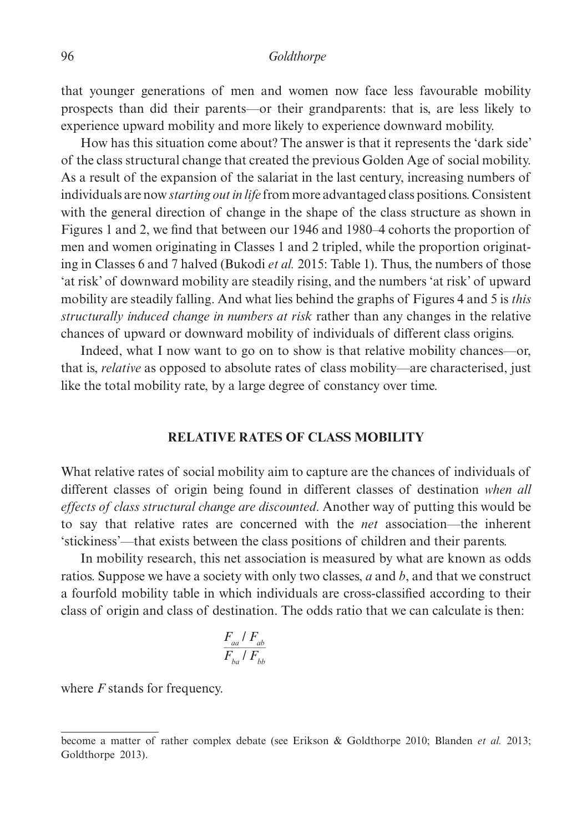that younger generations of men and women now face less favourable mobility prospects than did their parents—or their grandparents: that is, are less likely to experience upward mobility and more likely to experience downward mobility.

How has this situation come about? The answer is that it represents the 'dark side' of the class structural change that created the previous Golden Age of social mobility. As a result of the expansion of the salariat in the last century, increasing numbers of individuals are now *starting out in life* from more advantaged class positions. Consistent with the general direction of change in the shape of the class structure as shown in Figures 1 and 2, we find that between our 1946 and 1980–4 cohorts the proportion of men and women originating in Classes 1 and 2 tripled, while the proportion originating in Classes 6 and 7 halved (Bukodi *et al.* 2015: Table 1). Thus, the numbers of those 'at risk' of downward mobility are steadily rising, and the numbers 'at risk' of upward mobility are steadily falling. And what lies behind the graphs of Figures 4 and 5 is *this structurally induced change in numbers at risk* rather than any changes in the relative chances of upward or downward mobility of individuals of different class origins.

Indeed, what I now want to go on to show is that relative mobility chances—or, that is, *relative* as opposed to absolute rates of class mobility—are characterised, just like the total mobility rate, by a large degree of constancy over time.

#### **RELATIVE RATES OF CLASS MOBILITY**

What relative rates of social mobility aim to capture are the chances of individuals of different classes of origin being found in different classes of destination *when all effects of class structural change are discounted*. Another way of putting this would be to say that relative rates are concerned with the *net* association—the inherent 'stickiness'—that exists between the class positions of children and their parents.

In mobility research, this net association is measured by what are known as odds ratios. Suppose we have a society with only two classes, *a* and *b*, and that we construct a fourfold mobility table in which individuals are cross-classified according to their class of origin and class of destination. The odds ratio that we can calculate is then:

$$
\frac{F_{aa} / F_{ab}}{F_{ba} / F_{bb}}
$$

where *F* stands for frequency.

become a matter of rather complex debate (see Erikson & Goldthorpe 2010; Blanden *et al.* 2013; Goldthorpe 2013).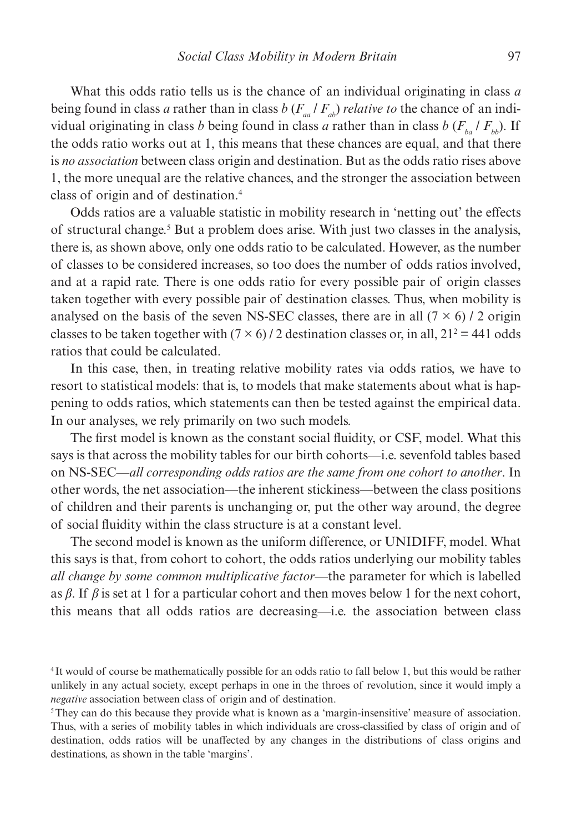What this odds ratio tells us is the chance of an individual originating in class *a* being found in class *a* rather than in class *b* ( $F_{aa}/F_{ab}$ ) *relative to* the chance of an individual originating in class *b* being found in class *a* rather than in class *b* ( $F<sub>b</sub>$  /  $F<sub>b</sub>$ ). If the odds ratio works out at 1, this means that these chances are equal, and that there is *no association* between class origin and destination. But as the odds ratio rises above 1, the more unequal are the relative chances, and the stronger the association between class of origin and of destination.4

Odds ratios are a valuable statistic in mobility research in 'netting out' the effects of structural change.<sup>5</sup> But a problem does arise. With just two classes in the analysis, there is, as shown above, only one odds ratio to be calculated. However, as the number of classes to be considered increases, so too does the number of odds ratios involved, and at a rapid rate. There is one odds ratio for every possible pair of origin classes taken together with every possible pair of destination classes. Thus, when mobility is analysed on the basis of the seven NS-SEC classes, there are in all  $(7 \times 6)$  / 2 origin classes to be taken together with  $(7 \times 6)$  / 2 destination classes or, in all,  $21^2 = 441$  odds ratios that could be calculated.

In this case, then, in treating relative mobility rates via odds ratios, we have to resort to statistical models: that is, to models that make statements about what is happening to odds ratios, which statements can then be tested against the empirical data. In our analyses, we rely primarily on two such models.

The first model is known as the constant social fluidity, or CSF, model. What this says is that across the mobility tables for our birth cohorts—i.e. sevenfold tables based on NS-SEC—*all corresponding odds ratios are the same from one cohort to another*. In other words, the net association—the inherent stickiness—between the class positions of children and their parents is unchanging or, put the other way around, the degree of social fluidity within the class structure is at a constant level.

The second model is known as the uniform difference, or UNIDIFF, model. What this says is that, from cohort to cohort, the odds ratios underlying our mobility tables *all change by some common multiplicative factor*—the parameter for which is labelled as  $\beta$ . If  $\beta$  is set at 1 for a particular cohort and then moves below 1 for the next cohort, this means that all odds ratios are decreasing—i.e. the association between class

<sup>4</sup> It would of course be mathematically possible for an odds ratio to fall below 1, but this would be rather unlikely in any actual society, except perhaps in one in the throes of revolution, since it would imply a *negative* association between class of origin and of destination.

<sup>5</sup>They can do this because they provide what is known as a 'margin-insensitive' measure of association. Thus, with a series of mobility tables in which individuals are cross-classified by class of origin and of destination, odds ratios will be unaffected by any changes in the distributions of class origins and destinations, as shown in the table 'margins'.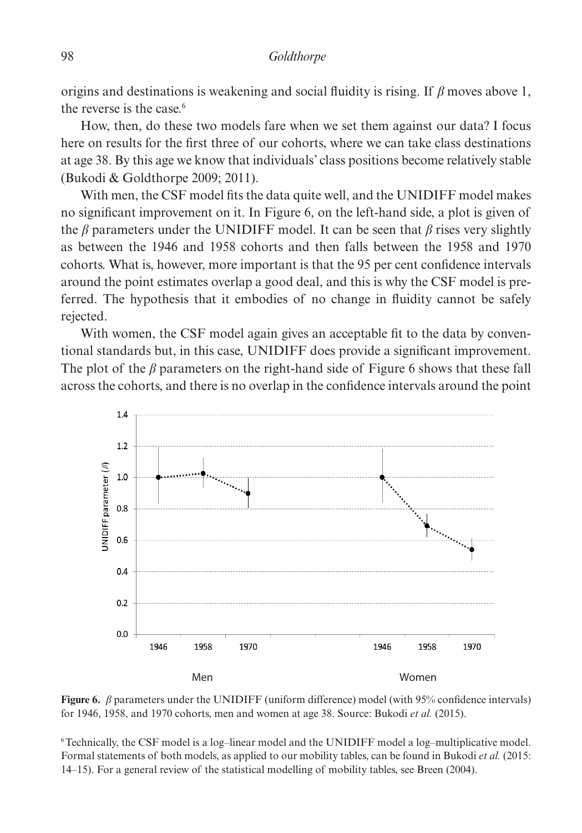origins and destinations is weakening and social fluidity is rising. If  $\beta$  moves above 1, the reverse is the case.6

How, then, do these two models fare when we set them against our data? I focus here on results for the first three of our cohorts, where we can take class destinations at age 38. By this age we know that individuals' class positions become relatively stable (Bukodi & Goldthorpe 2009; 2011).

With men, the CSF model fits the data quite well, and the UNIDIFF model makes no significant improvement on it. In Figure 6, on the left-hand side, a plot is given of the  $\beta$  parameters under the UNIDIFF model. It can be seen that  $\beta$  rises very slightly as between the 1946 and 1958 cohorts and then falls between the 1958 and 1970 cohorts. What is, however, more important is that the 95 per cent confidence intervals around the point estimates overlap a good deal, and this is why the CSF model is preferred. The hypothesis that it embodies of no change in fluidity cannot be safely rejected.

With women, the CSF model again gives an acceptable fit to the data by conventional standards but, in this case, UNIDIFF does provide a significant improvement. The plot of the  $\beta$  parameters on the right-hand side of Figure 6 shows that these fall across the cohorts, and there is no overlap in the confidence intervals around the point



Figure 6.  $\beta$  parameters under the UNIDIFF (uniform difference) model (with 95% confidence intervals) for 1946, 1958, and 1970 cohorts, men and women at age 38. Source: Bukodi *et al.* (2015).

6 Technically, the CSF model is a log–linear model and the UNIDIFF model a log–multiplicative model. Formal statements of both models, as applied to our mobility tables, can be found in Bukodi *et al.* (2015: 14–15). For a general review of the statistical modelling of mobility tables, see Breen (2004).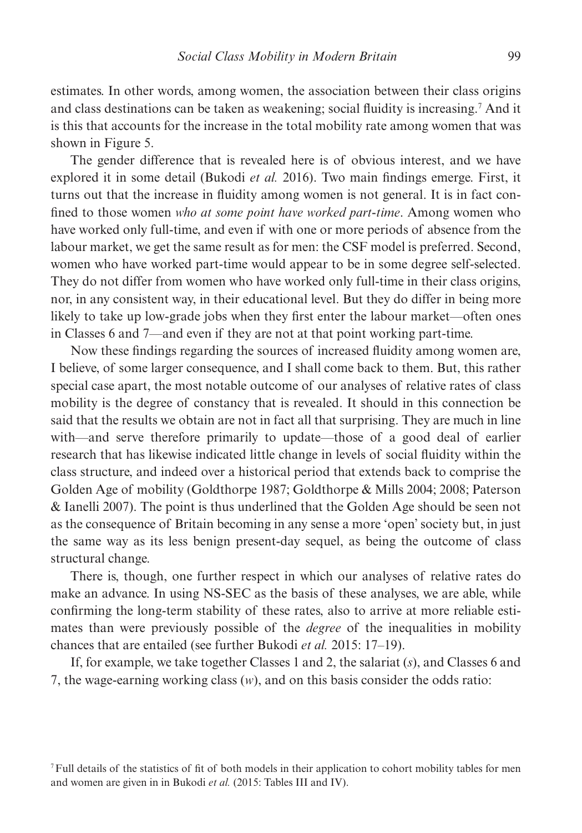estimates. In other words, among women, the association between their class origins and class destinations can be taken as weakening; social fluidity is increasing.7 And it is this that accounts for the increase in the total mobility rate among women that was shown in Figure 5.

The gender difference that is revealed here is of obvious interest, and we have explored it in some detail (Bukodi *et al.* 2016). Two main findings emerge. First, it turns out that the increase in fluidity among women is not general. It is in fact confined to those women *who at some point have worked part-time*. Among women who have worked only full-time, and even if with one or more periods of absence from the labour market, we get the same result as for men: the CSF model is preferred. Second, women who have worked part-time would appear to be in some degree self-selected. They do not differ from women who have worked only full-time in their class origins, nor, in any consistent way, in their educational level. But they do differ in being more likely to take up low-grade jobs when they first enter the labour market—often ones in Classes 6 and 7—and even if they are not at that point working part-time.

Now these findings regarding the sources of increased fluidity among women are, I believe, of some larger consequence, and I shall come back to them. But, this rather special case apart, the most notable outcome of our analyses of relative rates of class mobility is the degree of constancy that is revealed. It should in this connection be said that the results we obtain are not in fact all that surprising. They are much in line with—and serve therefore primarily to update—those of a good deal of earlier research that has likewise indicated little change in levels of social fluidity within the class structure, and indeed over a historical period that extends back to comprise the Golden Age of mobility (Goldthorpe 1987; Goldthorpe & Mills 2004; 2008; Paterson & Ianelli 2007). The point is thus underlined that the Golden Age should be seen not as the consequence of Britain becoming in any sense a more 'open' society but, in just the same way as its less benign present-day sequel, as being the outcome of class structural change.

There is, though, one further respect in which our analyses of relative rates do make an advance. In using NS-SEC as the basis of these analyses, we are able, while confirming the long-term stability of these rates, also to arrive at more reliable estimates than were previously possible of the *degree* of the inequalities in mobility chances that are entailed (see further Bukodi *et al.* 2015: 17–19).

If, for example, we take together Classes 1 and 2, the salariat (*s*), and Classes 6 and 7, the wage-earning working class (*w*), and on this basis consider the odds ratio:

<sup>7</sup>Full details of the statistics of fit of both models in their application to cohort mobility tables for men and women are given in in Bukodi *et al.* (2015: Tables III and IV).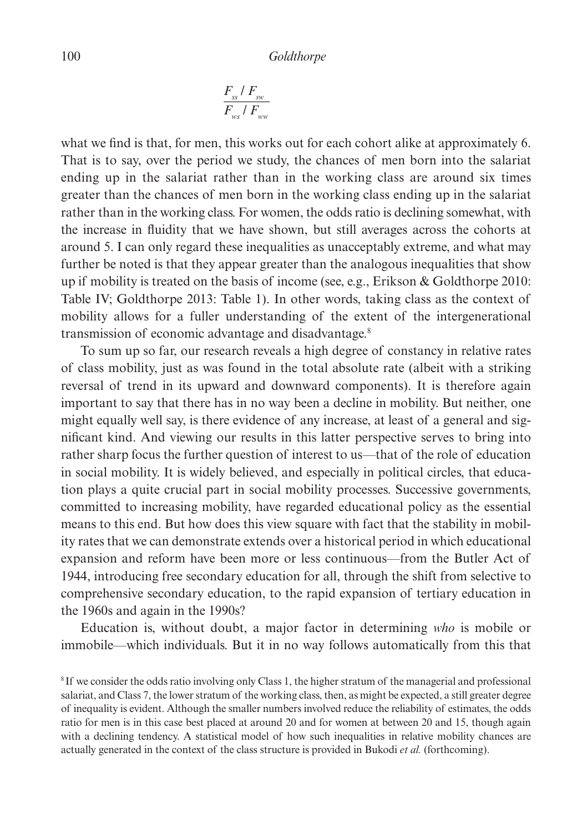$$
\frac{F_{ss} / F_{sw}}{F_{ws} / F_{ww}}
$$

what we find is that, for men, this works out for each cohort alike at approximately 6. That is to say, over the period we study, the chances of men born into the salariat ending up in the salariat rather than in the working class are around six times greater than the chances of men born in the working class ending up in the salariat rather than in the working class. For women, the odds ratio is declining somewhat, with the increase in fluidity that we have shown, but still averages across the cohorts at around 5. I can only regard these inequalities as unacceptably extreme, and what may further be noted is that they appear greater than the analogous inequalities that show up if mobility is treated on the basis of income (see, e.g., Erikson & Goldthorpe 2010: Table IV; Goldthorpe 2013: Table 1). In other words, taking class as the context of mobility allows for a fuller understanding of the extent of the intergenerational transmission of economic advantage and disadvantage.8

To sum up so far, our research reveals a high degree of constancy in relative rates of class mobility, just as was found in the total absolute rate (albeit with a striking reversal of trend in its upward and downward components). It is therefore again important to say that there has in no way been a decline in mobility. But neither, one might equally well say, is there evidence of any increase, at least of a general and significant kind. And viewing our results in this latter perspective serves to bring into rather sharp focus the further question of interest to us—that of the role of education in social mobility. It is widely believed, and especially in political circles, that education plays a quite crucial part in social mobility processes. Successive governments, committed to increasing mobility, have regarded educational policy as the essential means to this end. But how does this view square with fact that the stability in mobility rates that we can demonstrate extends over a historical period in which educational expansion and reform have been more or less continuous—from the Butler Act of 1944, introducing free secondary education for all, through the shift from selective to comprehensive secondary education, to the rapid expansion of tertiary education in the 1960s and again in the 1990s?

Education is, without doubt, a major factor in determining *who* is mobile or immobile—which individuals. But it in no way follows automatically from this that

<sup>8</sup> If we consider the odds ratio involving only Class 1, the higher stratum of the managerial and professional salariat, and Class 7, the lower stratum of the working class, then, as might be expected, a still greater degree of inequality is evident. Although the smaller numbers involved reduce the reliability of estimates, the odds ratio for men is in this case best placed at around 20 and for women at between 20 and 15, though again with a declining tendency. A statistical model of how such inequalities in relative mobility chances are actually generated in the context of the class structure is provided in Bukodi *et al.* (forthcoming).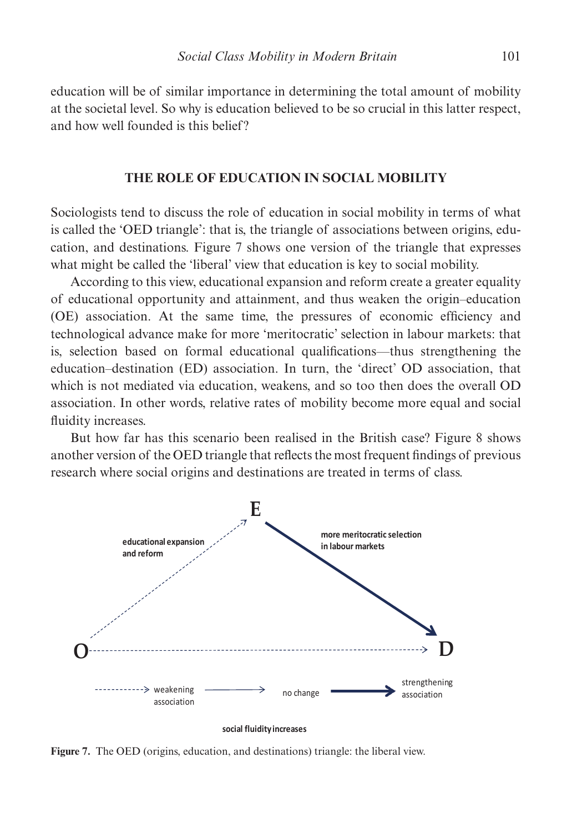education will be of similar importance in determining the total amount of mobility at the societal level. So why is education believed to be so crucial in this latter respect, and how well founded is this belief?

## **THE ROLE OF EDUCATION IN SOCIAL MOBILITY**

Sociologists tend to discuss the role of education in social mobility in terms of what is called the 'OED triangle': that is, the triangle of associations between origins, education, and destinations. Figure 7 shows one version of the triangle that expresses what might be called the 'liberal' view that education is key to social mobility.

According to this view, educational expansion and reform create a greater equality of educational opportunity and attainment, and thus weaken the origin–education (OE) association. At the same time, the pressures of economic efficiency and technological advance make for more 'meritocratic' selection in labour markets: that is, selection based on formal educational qualifications—thus strengthening the education–destination (ED) association. In turn, the 'direct' OD association, that which is not mediated via education, weakens, and so too then does the overall OD association. In other words, relative rates of mobility become more equal and social fluidity increases.

But how far has this scenario been realised in the British case? Figure 8 shows another version of the OED triangle that reflects the most frequent findings of previous research where social origins and destinations are treated in terms of class.



**social fluidity increases** 

**Figure 7.** The OED (origins, education, and destinations) triangle: the liberal view.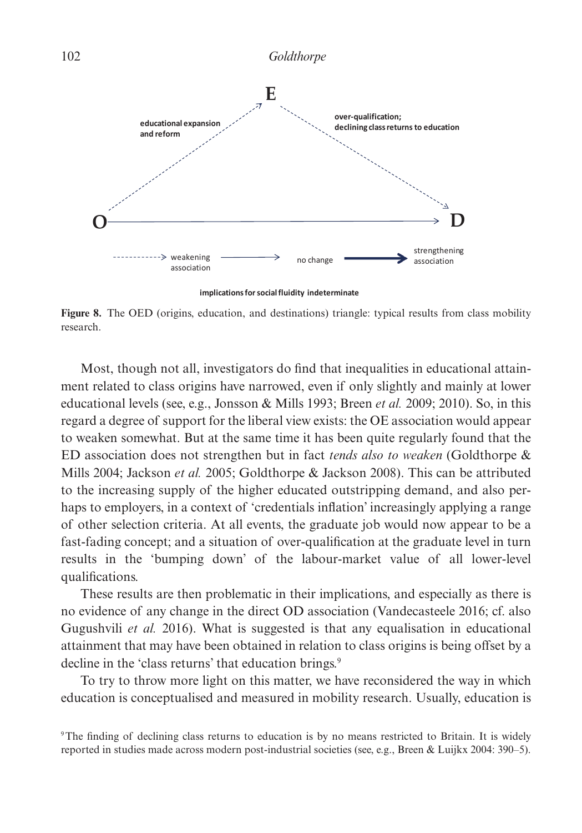

**Figure 8.** The OED (origins, education, and destinations) triangle: typical results from class mobility research.

Most, though not all, investigators do find that inequalities in educational attainment related to class origins have narrowed, even if only slightly and mainly at lower educational levels (see, e.g., Jonsson & Mills 1993; Breen *et al.* 2009; 2010). So, in this regard a degree of support for the liberal view exists: the OE association would appear to weaken somewhat. But at the same time it has been quite regularly found that the ED association does not strengthen but in fact *tends also to weaken* (Goldthorpe & Mills 2004; Jackson *et al.* 2005; Goldthorpe & Jackson 2008). This can be attributed to the increasing supply of the higher educated outstripping demand, and also perhaps to employers, in a context of 'credentials inflation' increasingly applying a range of other selection criteria. At all events, the graduate job would now appear to be a fast-fading concept; and a situation of over-qualification at the graduate level in turn results in the 'bumping down' of the labour-market value of all lower-level qualifications.

These results are then problematic in their implications, and especially as there is no evidence of any change in the direct OD association (Vandecasteele 2016; cf. also Gugushvili *et al.* 2016). What is suggested is that any equalisation in educational attainment that may have been obtained in relation to class origins is being offset by a decline in the 'class returns' that education brings.<sup>9</sup>

To try to throw more light on this matter, we have reconsidered the way in which education is conceptualised and measured in mobility research. Usually, education is

<sup>9</sup>The finding of declining class returns to education is by no means restricted to Britain. It is widely reported in studies made across modern post-industrial societies (see, e.g., Breen & Luijkx 2004: 390–5).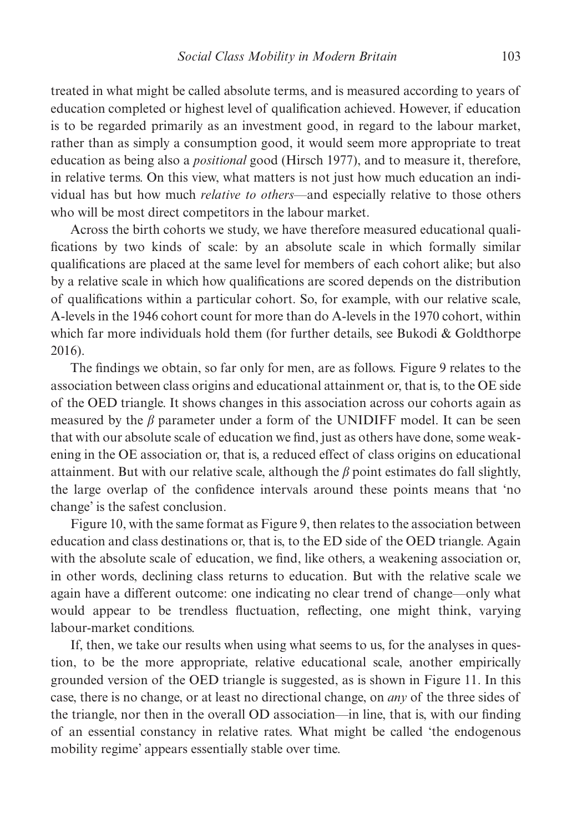treated in what might be called absolute terms, and is measured according to years of education completed or highest level of qualification achieved. However, if education is to be regarded primarily as an investment good, in regard to the labour market, rather than as simply a consumption good, it would seem more appropriate to treat education as being also a *positional* good (Hirsch 1977), and to measure it, therefore, in relative terms. On this view, what matters is not just how much education an individual has but how much *relative to others—*and especially relative to those others who will be most direct competitors in the labour market.

Across the birth cohorts we study, we have therefore measured educational qualifications by two kinds of scale: by an absolute scale in which formally similar qualifications are placed at the same level for members of each cohort alike; but also by a relative scale in which how qualifications are scored depends on the distribution of qualifications within a particular cohort. So, for example, with our relative scale, A-levels in the 1946 cohort count for more than do A-levels in the 1970 cohort, within which far more individuals hold them (for further details, see Bukodi & Goldthorpe 2016).

The findings we obtain, so far only for men, are as follows. Figure 9 relates to the association between class origins and educational attainment or, that is, to the OE side of the OED triangle. It shows changes in this association across our cohorts again as measured by the  $\beta$  parameter under a form of the UNIDIFF model. It can be seen that with our absolute scale of education we find, just as others have done, some weakening in the OE association or, that is, a reduced effect of class origins on educational attainment. But with our relative scale, although the  $\beta$  point estimates do fall slightly, the large overlap of the confidence intervals around these points means that 'no change' is the safest conclusion.

Figure 10, with the same format as Figure 9, then relates to the association between education and class destinations or, that is, to the ED side of the OED triangle. Again with the absolute scale of education, we find, like others, a weakening association or, in other words, declining class returns to education. But with the relative scale we again have a different outcome: one indicating no clear trend of change—only what would appear to be trendless fluctuation, reflecting, one might think, varying labour-market conditions.

If, then, we take our results when using what seems to us, for the analyses in question, to be the more appropriate, relative educational scale, another empirically grounded version of the OED triangle is suggested, as is shown in Figure 11. In this case, there is no change, or at least no directional change, on *any* of the three sides of the triangle, nor then in the overall OD association—in line, that is, with our finding of an essential constancy in relative rates. What might be called 'the endogenous mobility regime' appears essentially stable over time.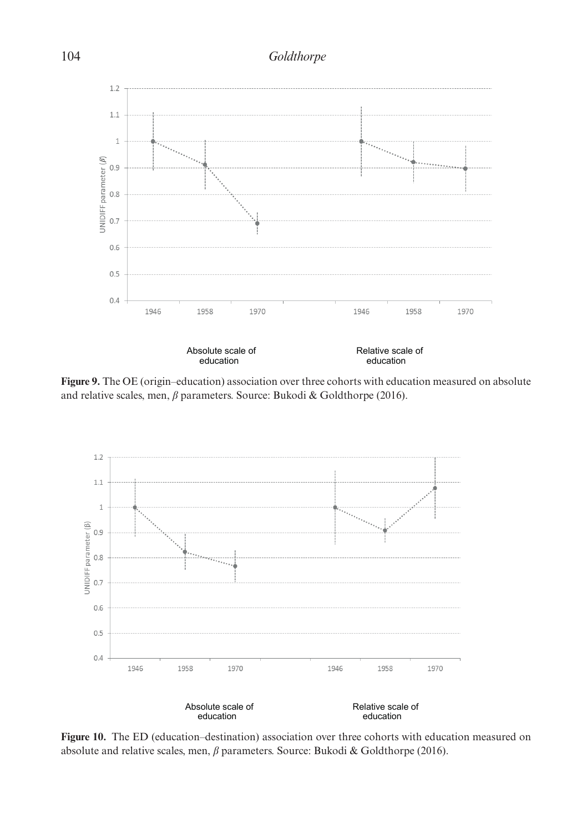## 104 *Goldthorpe*



**Figure** *1* Figure 2.2 (Figure Collection of the Collection of the Collection measured on absolute and relative scales, men, *β* parameters. Source: Bukodi & Goldthorpe (2016). scales, men, β parameters, men, β parameters, men, β parameters, men,  $\frac{1}{2}$ **Figure 9.** The OE (origin–education) association over three cohorts with education measured on absolute



**Figure 10.** The ED (education–destination) association over three cohorts with education measured on absolute and relative scales, men, *b* parameters. Source: Bukodi & Goldthorpe (2016).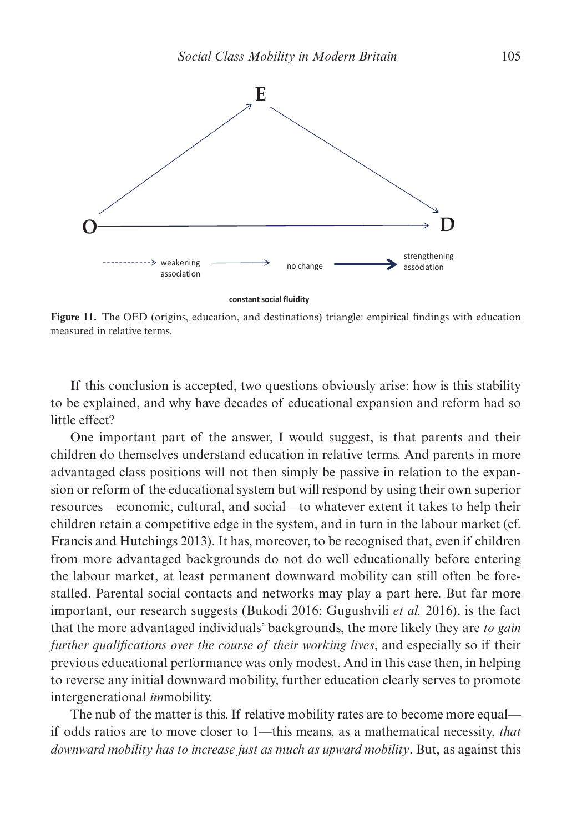

**constant social fluidity**

Figure 11. The OED (origins, education, and destinations) triangle: empirical findings with education measured in relative terms.

If this conclusion is accepted, two questions obviously arise: how is this stability to be explained, and why have decades of educational expansion and reform had so little effect?

One important part of the answer, I would suggest, is that parents and their children do themselves understand education in relative terms. And parents in more advantaged class positions will not then simply be passive in relation to the expansion or reform of the educational system but will respond by using their own superior resources—economic, cultural, and social—to whatever extent it takes to help their children retain a competitive edge in the system, and in turn in the labour market (cf. Francis and Hutchings 2013). It has, moreover, to be recognised that, even if children from more advantaged backgrounds do not do well educationally before entering the labour market, at least permanent downward mobility can still often be forestalled. Parental social contacts and networks may play a part here. But far more important, our research suggests (Bukodi 2016; Gugushvili *et al.* 2016), is the fact that the more advantaged individuals' backgrounds, the more likely they are *to gain further qualifications over the course of their working lives, and especially so if their* previous educational performance was only modest. And in this case then, in helping to reverse any initial downward mobility, further education clearly serves to promote intergenerational *im*mobility.

The nub of the matter is this. If relative mobility rates are to become more equal if odds ratios are to move closer to 1—this means, as a mathematical necessity, *that downward mobility has to increase just as much as upward mobility*. But, as against this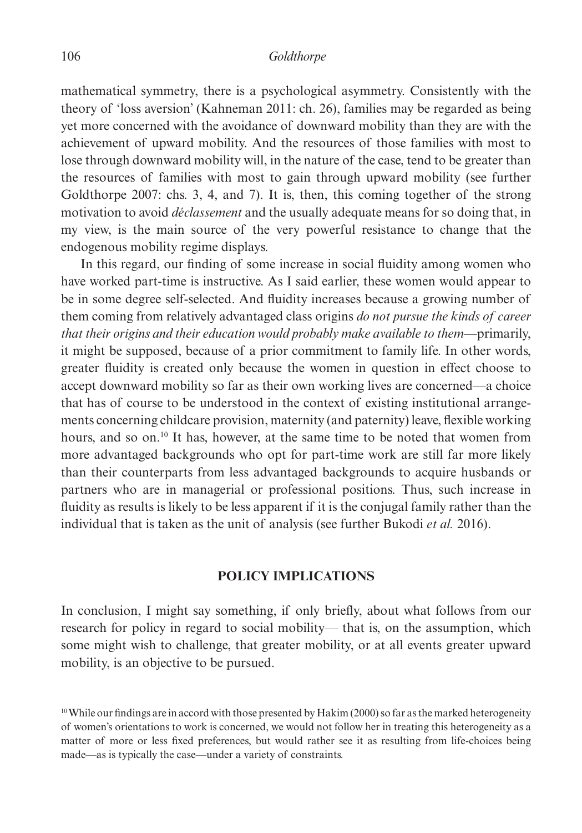#### 106 *Goldthorpe*

mathematical symmetry, there is a psychological asymmetry. Consistently with the theory of 'loss aversion' (Kahneman 2011: ch. 26), families may be regarded as being yet more concerned with the avoidance of downward mobility than they are with the achievement of upward mobility. And the resources of those families with most to lose through downward mobility will, in the nature of the case, tend to be greater than the resources of families with most to gain through upward mobility (see further Goldthorpe 2007: chs. 3, 4, and 7). It is, then, this coming together of the strong motivation to avoid *déclassement* and the usually adequate means for so doing that, in my view, is the main source of the very powerful resistance to change that the endogenous mobility regime displays.

In this regard, our finding of some increase in social fluidity among women who have worked part-time is instructive. As I said earlier, these women would appear to be in some degree self-selected. And fluidity increases because a growing number of them coming from relatively advantaged class origins *do not pursue the kinds of career that their origins and their education would probably make available to them*—primarily, it might be supposed, because of a prior commitment to family life. In other words, greater fluidity is created only because the women in question in effect choose to accept downward mobility so far as their own working lives are concerned—a choice that has of course to be understood in the context of existing institutional arrangements concerning childcare provision, maternity (and paternity) leave, flexible working hours, and so on.<sup>10</sup> It has, however, at the same time to be noted that women from more advantaged backgrounds who opt for part-time work are still far more likely than their counterparts from less advantaged backgrounds to acquire husbands or partners who are in managerial or professional positions. Thus, such increase in fluidity as results is likely to be less apparent if it is the conjugal family rather than the individual that is taken as the unit of analysis (see further Bukodi *et al.* 2016).

## **POLICY IMPLICATIONS**

In conclusion, I might say something, if only briefly, about what follows from our research for policy in regard to social mobility— that is, on the assumption, which some might wish to challenge, that greater mobility, or at all events greater upward mobility, is an objective to be pursued.

<sup>&</sup>lt;sup>10</sup> While our findings are in accord with those presented by Hakim (2000) so far as the marked heterogeneity of women's orientations to work is concerned, we would not follow her in treating this heterogeneity as a matter of more or less fixed preferences, but would rather see it as resulting from life-choices being made—as is typically the case—under a variety of constraints.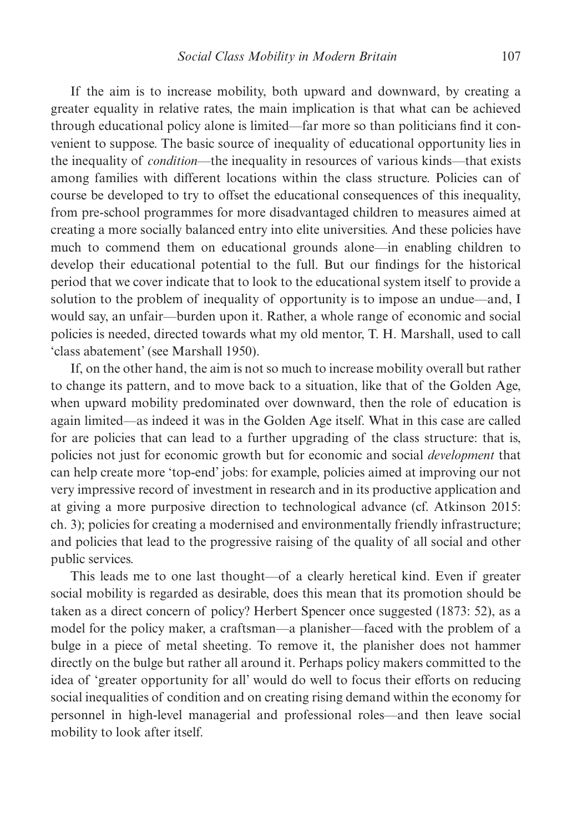If the aim is to increase mobility, both upward and downward, by creating a greater equality in relative rates, the main implication is that what can be achieved through educational policy alone is limited—far more so than politicians find it convenient to suppose. The basic source of inequality of educational opportunity lies in the inequality of *condition*—the inequality in resources of various kinds—that exists among families with different locations within the class structure. Policies can of course be developed to try to offset the educational consequences of this inequality, from pre-school programmes for more disadvantaged children to measures aimed at creating a more socially balanced entry into elite universities. And these policies have much to commend them on educational grounds alone—in enabling children to develop their educational potential to the full. But our findings for the historical period that we cover indicate that to look to the educational system itself to provide a solution to the problem of inequality of opportunity is to impose an undue—and, I would say, an unfair—burden upon it. Rather, a whole range of economic and social policies is needed, directed towards what my old mentor, T. H. Marshall, used to call 'class abatement' (see Marshall 1950).

If, on the other hand, the aim is not so much to increase mobility overall but rather to change its pattern, and to move back to a situation, like that of the Golden Age, when upward mobility predominated over downward, then the role of education is again limited—as indeed it was in the Golden Age itself. What in this case are called for are policies that can lead to a further upgrading of the class structure: that is, policies not just for economic growth but for economic and social *development* that can help create more 'top-end' jobs: for example, policies aimed at improving our not very impressive record of investment in research and in its productive application and at giving a more purposive direction to technological advance (cf. Atkinson 2015: ch. 3); policies for creating a modernised and environmentally friendly infrastructure; and policies that lead to the progressive raising of the quality of all social and other public services.

This leads me to one last thought—of a clearly heretical kind. Even if greater social mobility is regarded as desirable, does this mean that its promotion should be taken as a direct concern of policy? Herbert Spencer once suggested (1873: 52), as a model for the policy maker, a craftsman—a planisher—faced with the problem of a bulge in a piece of metal sheeting. To remove it, the planisher does not hammer directly on the bulge but rather all around it. Perhaps policy makers committed to the idea of 'greater opportunity for all' would do well to focus their efforts on reducing social inequalities of condition and on creating rising demand within the economy for personnel in high-level managerial and professional roles—and then leave social mobility to look after itself.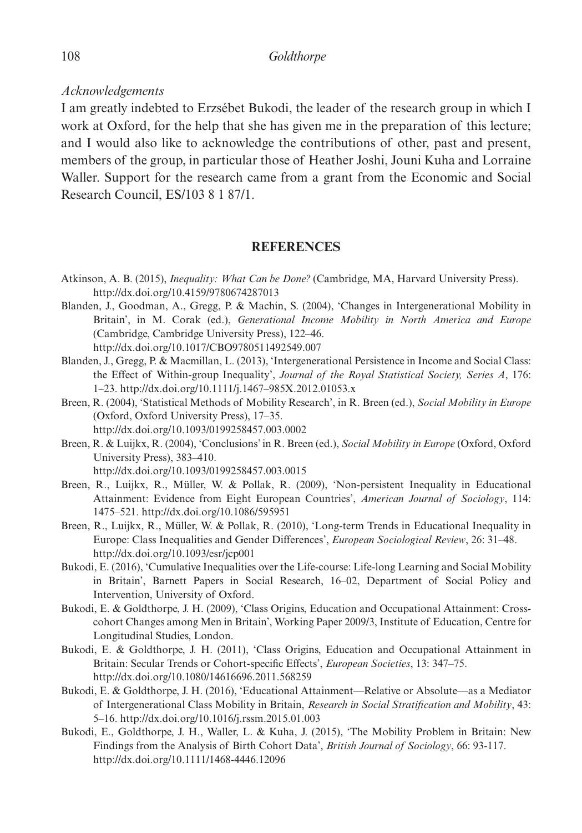## *Acknowledgements*

I am greatly indebted to Erzsébet Bukodi, the leader of the research group in which I work at Oxford, for the help that she has given me in the preparation of this lecture; and I would also like to acknowledge the contributions of other, past and present, members of the group, in particular those of Heather Joshi, Jouni Kuha and Lorraine Waller. Support for the research came from a grant from the Economic and Social Research Council, ES/103 8 1 87/1.

## **REFERENCES**

- Atkinson, A. B. (2015), *Inequality: What Can be Done?* (Cambridge, MA, Harvard University Press). http://dx.doi.org/10.4159/9780674287013
- Blanden, J., Goodman, A., Gregg, P. & Machin, S. (2004), 'Changes in Intergenerational Mobility in Britain', in M. Corak (ed.), *Generational Income Mobility in North America and Europe* (Cambridge, Cambridge University Press), 122–46. http://dx.doi.org/10.1017/CBO9780511492549.007
- Blanden, J., Gregg, P. & Macmillan, L. (2013), 'Intergenerational Persistence in Income and Social Class: the Effect of Within-group Inequality', *Journal of the Royal Statistical Society, Series A*, 176: 1–23. http://dx.doi.org/10.1111/j.1467–985X.2012.01053.x
- Breen, R. (2004), 'Statistical Methods of Mobility Research', in R. Breen (ed.), *Social Mobility in Europe* (Oxford, Oxford University Press), 17–35. http://dx.doi.org/10.1093/0199258457.003.0002
- Breen, R. & Luijkx, R. (2004), 'Conclusions' in R. Breen (ed.), *Social Mobility in Europe* (Oxford, Oxford University Press), 383–410. http://dx.doi.org/10.1093/0199258457.003.0015
- Breen, R., Luijkx, R., Müller, W. & Pollak, R. (2009), 'Non-persistent Inequality in Educational Attainment: Evidence from Eight European Countries', *American Journal of Sociology*, 114: 1475–521. http://dx.doi.org/10.1086/595951
- Breen, R., Luijkx, R., Müller, W. & Pollak, R. (2010), 'Long-term Trends in Educational Inequality in Europe: Class Inequalities and Gender Differences', *European Sociological Review*, 26: 31–48. http://dx.doi.org/10.1093/esr/jcp001
- Bukodi, E. (2016), 'Cumulative Inequalities over the Life-course: Life-long Learning and Social Mobility in Britain', Barnett Papers in Social Research, 16–02, Department of Social Policy and Intervention, University of Oxford.
- Bukodi, E. & Goldthorpe, J. H. (2009), 'Class Origins, Education and Occupational Attainment: Crosscohort Changes among Men in Britain', Working Paper 2009/3, Institute of Education, Centre for Longitudinal Studies, London.
- Bukodi, E. & Goldthorpe, J. H. (2011), 'Class Origins, Education and Occupational Attainment in Britain: Secular Trends or Cohort-specific Effects', *European Societies*, 13: 347–75. http://dx.doi.org/10.1080/14616696.2011.568259
- Bukodi, E. & Goldthorpe, J. H. (2016), 'Educational Attainment—Relative or Absolute—as a Mediator of Intergenerational Class Mobility in Britain, *Research in Social Stratification and Mobility*, 43: 5–16. http://dx.doi.org/10.1016/j.rssm.2015.01.003
- Bukodi, E., Goldthorpe, J. H., Waller, L. & Kuha, J. (2015), 'The Mobility Problem in Britain: New Findings from the Analysis of Birth Cohort Data', *British Journal of Sociology*, 66: 93-117. http://dx.doi.org/10.1111/1468-4446.12096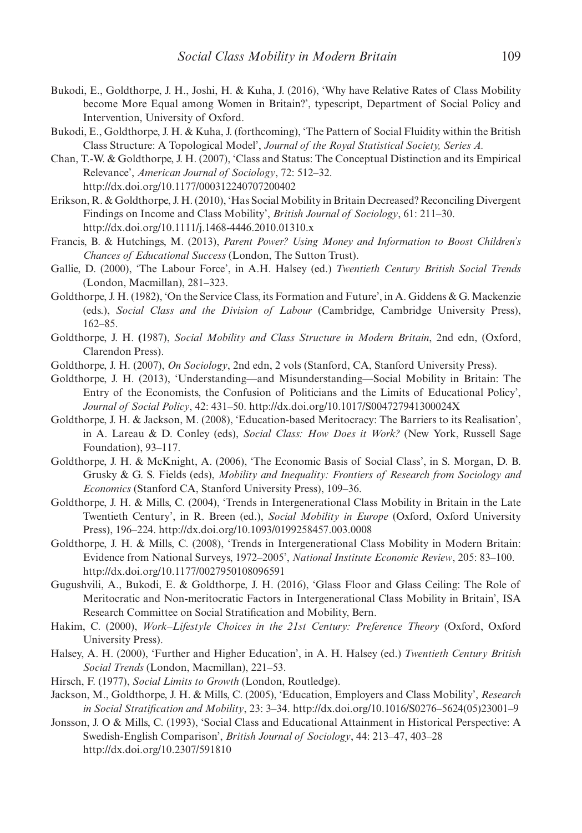- Bukodi, E., Goldthorpe, J. H., Joshi, H. & Kuha, J. (2016), 'Why have Relative Rates of Class Mobility become More Equal among Women in Britain?', typescript, Department of Social Policy and Intervention, University of Oxford.
- Bukodi, E., Goldthorpe, J. H. & Kuha, J. (forthcoming), 'The Pattern of Social Fluidity within the British Class Structure: A Topological Model', *Journal of the Royal Statistical Society, Series A.*
- Chan, T.-W. & Goldthorpe, J. H. (2007), 'Class and Status: The Conceptual Distinction and its Empirical Relevance', *American Journal of Sociology*, 72: 512–32. http://dx.doi.org/10.1177/000312240707200402
- Erikson, R. & Goldthorpe, J. H. (2010), 'Has Social Mobility in Britain Decreased? Reconciling Divergent Findings on Income and Class Mobility', *British Journal of Sociology*, 61: 211–30. http://dx.doi.org/10.1111/j.1468-4446.2010.01310.x
- Francis, B. & Hutchings, M. (2013), *Parent Power? Using Money and Information to Boost Children's Chances of Educational Success* (London, The Sutton Trust).
- Gallie, D. (2000), 'The Labour Force', in A.H. Halsey (ed.) *Twentieth Century British Social Trends* (London, Macmillan), 281–323.
- Goldthorpe, J. H. (1982), 'On the Service Class, its Formation and Future', in A. Giddens & G. Mackenzie (eds.), *Social Class and the Division of Labour* (Cambridge, Cambridge University Press), 162–85.
- Goldthorpe, J. H. **(**1987), *Social Mobility and Class Structure in Modern Britain*, 2nd edn, (Oxford, Clarendon Press).
- Goldthorpe, J. H. (2007), *On Sociology*, 2nd edn, 2 vols (Stanford, CA, Stanford University Press).
- Goldthorpe, J. H. (2013), 'Understanding—and Misunderstanding—Social Mobility in Britain: The Entry of the Economists, the Confusion of Politicians and the Limits of Educational Policy', *Journal of Social Policy*, 42: 431–50. http://dx.doi.org/10.1017/S004727941300024X
- Goldthorpe, J. H. & Jackson, M. (2008), 'Education-based Meritocracy: The Barriers to its Realisation', in A. Lareau & D. Conley (eds), *Social Class: How Does it Work?* (New York, Russell Sage Foundation), 93–117.
- Goldthorpe, J. H. & McKnight, A. (2006), 'The Economic Basis of Social Class', in S. Morgan, D. B. Grusky & G. S. Fields (eds), *Mobility and Inequality: Frontiers of Research from Sociology and Economics* (Stanford CA, Stanford University Press), 109–36.
- Goldthorpe, J. H. & Mills, C. (2004), 'Trends in Intergenerational Class Mobility in Britain in the Late Twentieth Century', in R. Breen (ed.), *Social Mobility in Europe* (Oxford, Oxford University Press), 196–224. http://dx.doi.org/10.1093/0199258457.003.0008
- Goldthorpe, J. H. & Mills, C. (2008), 'Trends in Intergenerational Class Mobility in Modern Britain: Evidence from National Surveys, 1972–2005', *National Institute Economic Review*, 205: 83–100. http://dx.doi.org/10.1177/0027950108096591
- Gugushvili, A., Bukodi, E. & Goldthorpe, J. H. (2016), 'Glass Floor and Glass Ceiling: The Role of Meritocratic and Non-meritocratic Factors in Intergenerational Class Mobility in Britain', ISA Research Committee on Social Stratification and Mobility, Bern.
- Hakim, C. (2000), *Work–Lifestyle Choices in the 21st Century: Preference Theory* (Oxford, Oxford University Press).
- Halsey, A. H. (2000), 'Further and Higher Education', in A. H. Halsey (ed.) *Twentieth Century British Social Trends* (London, Macmillan), 221–53.
- Hirsch, F. (1977), *Social Limits to Growth* (London, Routledge).
- Jackson, M., Goldthorpe, J. H. & Mills, C. (2005), 'Education, Employers and Class Mobility', *Research in Social Stratification and Mobility*, 23: 3–34. http://dx.doi.org/10.1016/S0276–5624(05)23001–9
- Jonsson, J. O & Mills, C. (1993), 'Social Class and Educational Attainment in Historical Perspective: A Swedish-English Comparison', *British Journal of Sociology*, 44: 213–47, 403–28 http://dx.doi.org/10.2307/591810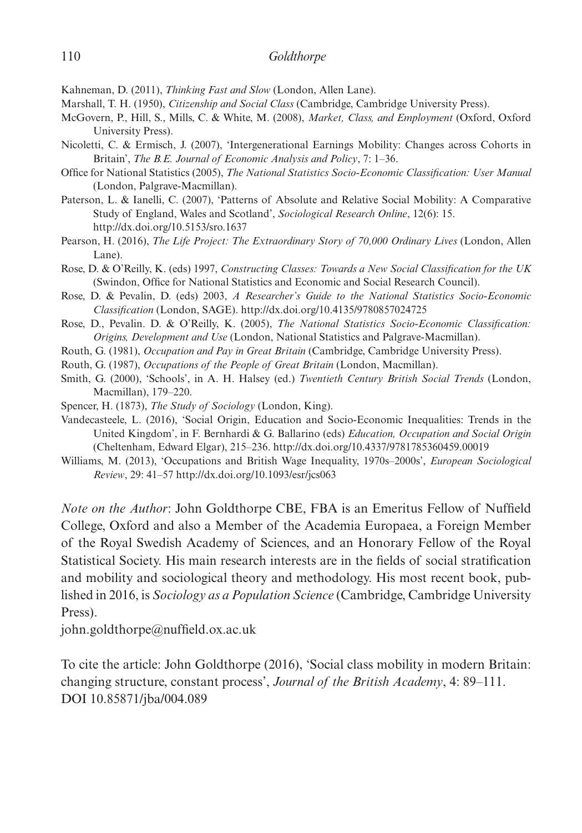Kahneman, D. (2011), *Thinking Fast and Slow* (London, Allen Lane).

Marshall, T. H. (1950), *Citizenship and Social Class* (Cambridge, Cambridge University Press).

- McGovern, P., Hill, S., Mills, C. & White, M. (2008), *Market, Class, and Employment* (Oxford, Oxford University Press).
- Nicoletti, C. & Ermisch, J. (2007), 'Intergenerational Earnings Mobility: Changes across Cohorts in Britain', *The B.E. Journal of Economic Analysis and Policy*, 7: 1–36.
- Office for National Statistics (2005), *The National Statistics Socio-Economic Classification: User Manual* (London, Palgrave-Macmillan).
- Paterson, L. & Ianelli, C. (2007), 'Patterns of Absolute and Relative Social Mobility: A Comparative Study of England, Wales and Scotland', *Sociological Research Online*, 12(6): 15. http://dx.doi.org/10.5153/sro.1637
- Pearson, H. (2016), *The Life Project: The Extraordinary Story of 70,000 Ordinary Lives* (London, Allen Lane).
- Rose, D. & O'Reilly, K. (eds) 1997, *Constructing Classes: Towards a New Social Classification for the UK* (Swindon, Office for National Statistics and Economic and Social Research Council).
- Rose, D. & Pevalin, D. (eds) 2003, *A Researcher's Guide to the National Statistics Socio-Economic Classification* (London, SAGE). http://dx.doi.org/10.4135/9780857024725
- Rose, D., Pevalin. D. & O'Reilly, K. (2005), *The National Statistics Socio-Economic Classification: Origins, Development and Use* (London, National Statistics and Palgrave-Macmillan).
- Routh, G. (1981), *Occupation and Pay in Great Britain* (Cambridge, Cambridge University Press).
- Routh, G. (1987), *Occupations of the People of Great Britain* (London, Macmillan).
- Smith, G. (2000), 'Schools', in A. H. Halsey (ed.) *Twentieth Century British Social Trends* (London, Macmillan), 179–220.
- Spencer, H. (1873), *The Study of Sociology* (London, King).
- Vandecasteele, L. (2016), 'Social Origin, Education and Socio-Economic Inequalities: Trends in the United Kingdom', in F. Bernhardi & G. Ballarino (eds) *Education, Occupation and Social Origin* (Cheltenham, Edward Elgar), 215–236. http://dx.doi.org/10.4337/9781785360459.00019
- Williams, M. (2013), 'Occupations and British Wage Inequality, 1970s–2000s', *European Sociological Review*, 29: 41–57 http://dx.doi.org/10.1093/esr/jcs063

*Note on the Author*: John Goldthorpe CBE, FBA is an Emeritus Fellow of Nuffield College, Oxford and also a Member of the Academia Europaea, a Foreign Member of the Royal Swedish Academy of Sciences, and an Honorary Fellow of the Royal Statistical Society. His main research interests are in the fields of social stratification and mobility and sociological theory and methodology. His most recent book, published in 2016, is *Sociology as a Population Science* (Cambridge, Cambridge University Press).

john.goldthorpe@nuffield.ox.ac.uk

To cite the article: John Goldthorpe (2016), 'Social class mobility in modern Britain: changing structure, constant process', *Journal of the British Academy*, 4: 89–111. DOI 10.85871/jba/004.089